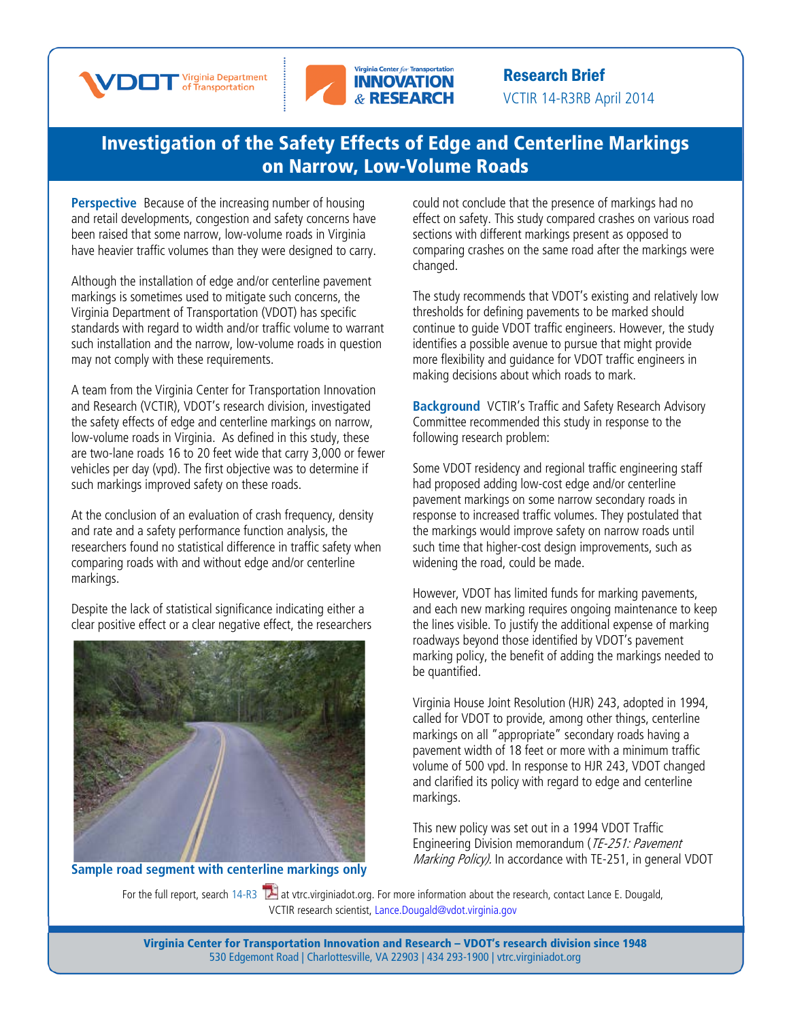



Research Brief VCTIR 14-R3RB April 2014

## [Investigation of the Safety Effects of Edge and Centerline](http://www.virginiadot.org/vtrc/main/online_reports/pdf/14-r3.pdf) Markings [on Narrow, Low-Volume Roads](http://www.virginiadot.org/vtrc/main/online_reports/pdf/14-r3.pdf)

**Perspective** Because of the increasing number of housing and retail developments, congestion and safety concerns have been raised that some narrow, low-volume roads in Virginia have heavier traffic volumes than they were designed to carry.

Although the installation of edge and/or centerline pavement markings is sometimes used to mitigate such concerns, the Virginia Department of Transportation (VDOT) has specific standards with regard to width and/or traffic volume to warrant such installation and the narrow, low-volume roads in question may not comply with these requirements.

A team from the Virginia Center for Transportation Innovation and Research (VCTIR), VDOT's research division, investigated the safety effects of edge and centerline markings on narrow, low-volume roads in Virginia. As defined in this study, these are two-lane roads 16 to 20 feet wide that carry 3,000 or fewer vehicles per day (vpd). The first objective was to determine if such markings improved safety on these roads.

At the conclusion of an evaluation of crash frequency, density and rate and a safety performance function analysis, the researchers found no statistical difference in traffic safety when comparing roads with and without edge and/or centerline markings.

Despite the lack of statistical significance indicating either a clear positive effect or a clear negative effect, the researchers



**Sample road segment with centerline markings only**

could not conclude that the presence of markings had no effect on safety. This study compared crashes on various road sections with different markings present as opposed to comparing crashes on the same road after the markings were changed.

The study recommends that VDOT's existing and relatively low thresholds for defining pavements to be marked should continue to guide VDOT traffic engineers. However, the study identifies a possible avenue to pursue that might provide more flexibility and guidance for VDOT traffic engineers in making decisions about which roads to mark.

**Background** VCTIR's Traffic and Safety Research Advisory Committee recommended this study in response to the following research problem:

Some VDOT residency and regional traffic engineering staff had proposed adding low-cost edge and/or centerline pavement markings on some narrow secondary roads in response to increased traffic volumes. They postulated that the markings would improve safety on narrow roads until such time that higher-cost design improvements, such as widening the road, could be made.

However, VDOT has limited funds for marking pavements, and each new marking requires ongoing maintenance to keep the lines visible. To justify the additional expense of marking roadways beyond those identified by VDOT's pavement marking policy, the benefit of adding the markings needed to be quantified.

Virginia House Joint Resolution (HJR) 243, adopted in 1994, called for VDOT to provide, among other things, centerline markings on all "appropriate" secondary roads having a pavement width of 18 feet or more with a minimum traffic volume of 500 vpd. In response to HJR 243, VDOT changed and clarified its policy with regard to edge and centerline markings.

This new policy was set out in a 1994 VDOT Traffic Engineering Division memorandum (TE-251: Pavement Marking Policy). In accordance with TE-251, in general VDOT

For the full report, search  $14$ -R3  $\mathbb{Z}$  at vtrc.virginiadot.org. For more informa[tion](http://www.virginiadot.org/vtrc/main/online_reports/pdf/14-r3.pdf) about the research, contact Lance E. Dougald, VCTIR research scientist, Lance.Dougald@vdot.virginia.gov

> Virginia Center for Transportation Innovation and Research – VDOT's research division since 1948 530 Edgemont Road | Charlottesville, VA 22903 | 434 293-1900 | [vtrc.virginiadot.org](http://vtrc.virginiadot.org/)